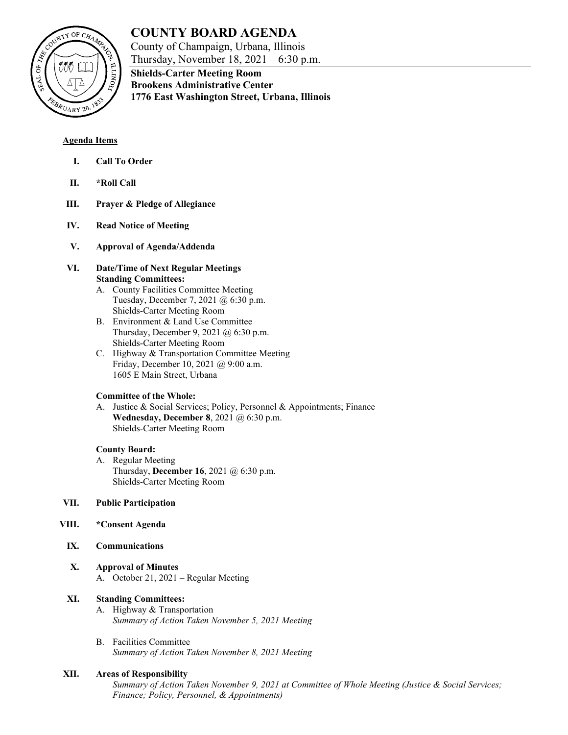# **COUNTY BOARD AGENDA**

County of Champaign, Urbana, Illinois Thursday, November 18, 2021 – 6:30 p.m.



**Shields-Carter Meeting Room Brookens Administrative Center 1776 East Washington Street, Urbana, Illinois**

# **Agenda Items**

- **I. Call To Order**
- **II. \*Roll Call**
- **III. Prayer & Pledge of Allegiance**
- **IV. Read Notice of Meeting**
- **V. Approval of Agenda/Addenda**
- **VI. Date/Time of Next Regular Meetings Standing Committees:**
	- A. County Facilities Committee Meeting Tuesday, December 7, 2021 @ 6:30 p.m. Shields-Carter Meeting Room
	- B. Environment & Land Use Committee Thursday, December 9, 2021 @ 6:30 p.m. Shields-Carter Meeting Room
	- C. Highway & Transportation Committee Meeting Friday, December 10, 2021 @ 9:00 a.m. 1605 E Main Street, Urbana

# **Committee of the Whole:**

A. Justice & Social Services; Policy, Personnel & Appointments; Finance **Wednesday, December 8**, 2021 @ 6:30 p.m. Shields-Carter Meeting Room

# **County Board:**

A. Regular Meeting Thursday, **December 16**, 2021 @ 6:30 p.m. Shields-Carter Meeting Room

# **VII. Public Participation**

- **VIII. \*Consent Agenda**
	- **IX. Communications**
	- **X. Approval of Minutes** A. October 21, 2021 – Regular Meeting

# **XI. Standing Committees:**

- A. Highway & Transportation *Summary of Action Taken November 5, 2021 Meeting*
- B. Facilities Committee *Summary of Action Taken November 8, 2021 Meeting*

# **XII. Areas of Responsibility**

*Summary of Action Taken November 9, 2021 at Committee of Whole Meeting (Justice & Social Services; Finance; Policy, Personnel, & Appointments)*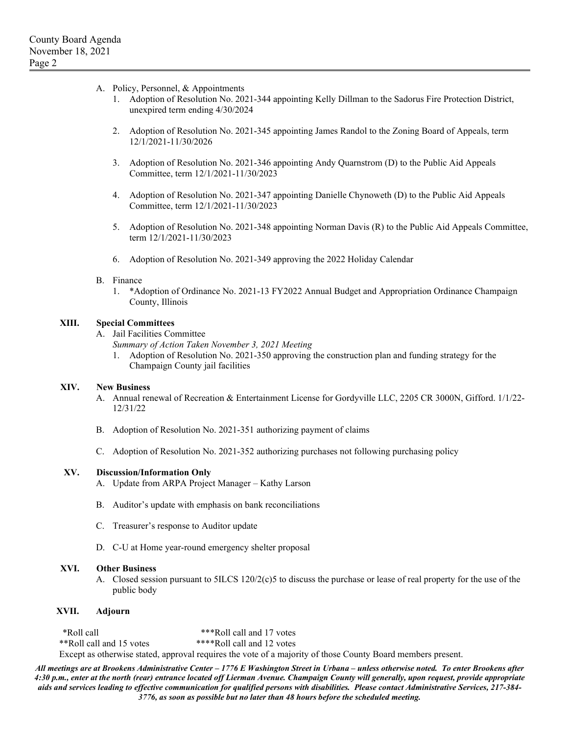- A. Policy, Personnel, & Appointments
	- 1. Adoption of Resolution No. 2021-344 appointing Kelly Dillman to the Sadorus Fire Protection District, unexpired term ending 4/30/2024
	- 2. Adoption of Resolution No. 2021-345 appointing James Randol to the Zoning Board of Appeals, term 12/1/2021-11/30/2026
	- 3. Adoption of Resolution No. 2021-346 appointing Andy Quarnstrom (D) to the Public Aid Appeals Committee, term 12/1/2021-11/30/2023
	- 4. Adoption of Resolution No. 2021-347 appointing Danielle Chynoweth (D) to the Public Aid Appeals Committee, term 12/1/2021-11/30/2023
	- 5. Adoption of Resolution No. 2021-348 appointing Norman Davis (R) to the Public Aid Appeals Committee, term 12/1/2021-11/30/2023
	- 6. Adoption of Resolution No. 2021-349 approving the 2022 Holiday Calendar

#### B. Finance

1. \*Adoption of Ordinance No. 2021-13 FY2022 Annual Budget and Appropriation Ordinance Champaign County, Illinois

#### **XIII. Special Committees**

A. Jail Facilities Committee

*Summary of Action Taken November 3, 2021 Meeting*

1. Adoption of Resolution No. 2021-350 approving the construction plan and funding strategy for the Champaign County jail facilities

#### **XIV. New Business**

- A. Annual renewal of Recreation & Entertainment License for Gordyville LLC, 2205 CR 3000N, Gifford. 1/1/22- 12/31/22
- B. Adoption of Resolution No. 2021-351 authorizing payment of claims
- C. Adoption of Resolution No. 2021-352 authorizing purchases not following purchasing policy

#### **XV. Discussion/Information Only**

- A. Update from ARPA Project Manager Kathy Larson
- B. Auditor's update with emphasis on bank reconciliations
- C. Treasurer's response to Auditor update
- D. C-U at Home year-round emergency shelter proposal

#### **XVI. Other Business**

A. Closed session pursuant to 5ILCS 120/2(c)5 to discuss the purchase or lease of real property for the use of the public body

#### **XVII. Adjourn**

\*Roll call \*\*\*Roll call and 17 votes \*\*Roll call and 15 votes \*\*\*\*Roll call and 12 votes Except as otherwise stated, approval requires the vote of a majority of those County Board members present.

*All meetings are at Brookens Administrative Center – 1776 E Washington Street in Urbana – unless otherwise noted. To enter Brookens after 4:30 p.m., enter at the north (rear) entrance located off Lierman Avenue. Champaign County will generally, upon request, provide appropriate aids and services leading to effective communication for qualified persons with disabilities. Please contact Administrative Services, 217-384- 3776, as soon as possible but no later than 48 hours before the scheduled meeting.*